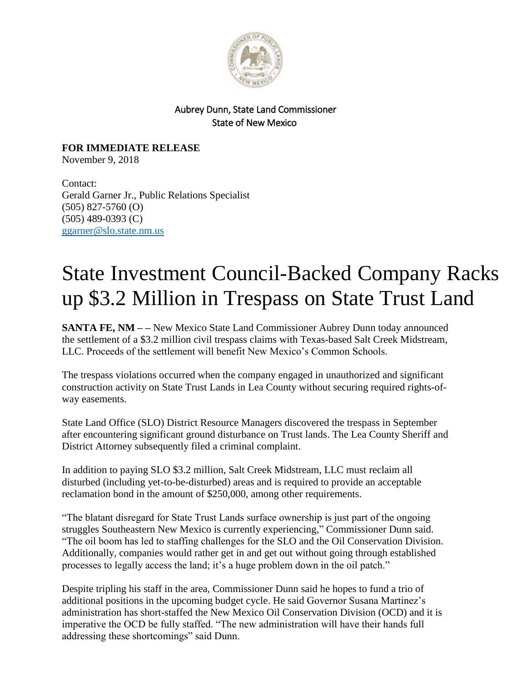

## Aubrey Dunn, State Land Commissioner State of New Mexico

**FOR IMMEDIATE RELEASE** November 9, 2018

Contact: Gerald Garner Jr., Public Relations Specialist (505) 827-5760 (O) (505) 489-0393 (C) [ggarner@slo.state.nm.us](mailto:ggarner@slo.state.nm.us)

## State Investment Council-Backed Company Racks up \$3.2 Million in Trespass on State Trust Land

**SANTA FE, NM – –** New Mexico State Land Commissioner Aubrey Dunn today announced the settlement of a \$3.2 million civil trespass claims with Texas-based Salt Creek Midstream, LLC. Proceeds of the settlement will benefit New Mexico's Common Schools.

The trespass violations occurred when the company engaged in unauthorized and significant construction activity on State Trust Lands in Lea County without securing required rights-ofway easements.

State Land Office (SLO) District Resource Managers discovered the trespass in September after encountering significant ground disturbance on Trust lands. The Lea County Sheriff and District Attorney subsequently filed a criminal complaint.

In addition to paying SLO \$3.2 million, Salt Creek Midstream, LLC must reclaim all disturbed (including yet-to-be-disturbed) areas and is required to provide an acceptable reclamation bond in the amount of \$250,000, among other requirements.

"The blatant disregard for State Trust Lands surface ownership is just part of the ongoing struggles Southeastern New Mexico is currently experiencing," Commissioner Dunn said. "The oil boom has led to staffing challenges for the SLO and the Oil Conservation Division. Additionally, companies would rather get in and get out without going through established processes to legally access the land; it's a huge problem down in the oil patch."

Despite tripling his staff in the area, Commissioner Dunn said he hopes to fund a trio of additional positions in the upcoming budget cycle. He said Governor Susana Martinez's administration has short-staffed the New Mexico Oil Conservation Division (OCD) and it is imperative the OCD be fully staffed. "The new administration will have their hands full addressing these shortcomings" said Dunn.